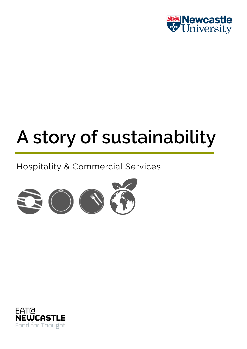

# **A story of sustainability**

### Hospitality & Commercial Services



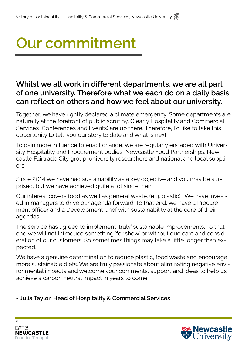## **Our commitment**

#### **Whilst we all work in different departments, we are all part of one university. Therefore what we each do on a daily basis can reflect on others and how we feel about our university.**

Together, we have rightly declared a climate emergency. Some departments are naturally at the forefront of public scrutiny. Clearly Hospitality and Commercial Services (Conferences and Events) are up there. Therefore, I'd like to take this opportunity to tell you our story to date and what is next.

To gain more influence to enact change, we are regularly engaged with University Hospitality and Procurement bodies, Newcastle Food Partnerships, Newcastle Fairtrade City group, university researchers and national and local suppliers.

Since 2014 we have had sustainability as a key objective and you may be surprised, but we have achieved quite a lot since then.

Our interest covers food as well as general waste. (e.g. plastic). We have invested in managers to drive our agenda forward. To that end, we have a Procurement officer and a Development Chef with sustainability at the core of their agendas.

The service has agreed to implement 'truly' sustainable improvements. To that end we will not introduce something 'for show' or without due care and consideration of our customers. So sometimes things may take a little longer than expected.

We have a genuine determination to reduce plastic, food waste and encourage more sustainable diets. We are truly passionate about eliminating negative environmental impacts and welcome your comments, support and ideas to help us achieve a carbon neutral impact in years to come.

**- Julia Taylor, Head of Hospitality & Commercial Services**



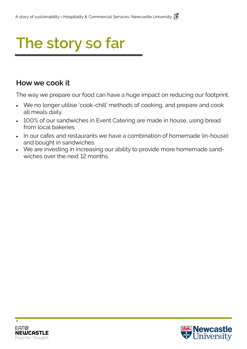#### **How we cook it**

The way we prepare our food can have a huge impact on reducing our footprint.

- We no longer utilise 'cook-chill' methods of cooking, and prepare and cook all meals daily.
- 100% of our sandwiches in Event Catering are made in house, using bread from local bakeries.
- In our cafes and restaurants we have a combination of homemade (in-house) and bought in sandwiches.
- We are investing in increasing our ability to provide more homemade sandwiches over the next 12 months.



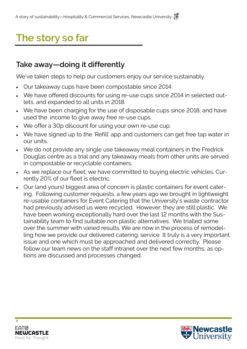#### **Take away—doing it differently**

We've taken steps to help our customers enjoy our service sustainably.

- Our takeaway cups have been compostable since 2014.
- We have offered discounts for using re-use cups since 2014 in selected outlets, and expanded to all units in 2018.
- We have been charging for the use of disposable cups since 2018, and have used the income to give away free re-use cups.
- We offer a 30p discount for using your own re-use cup.
- We have signed up to the 'Refill' app and customers can get free tap water in our units.
- We do not provide any single use takeaway meal containers in the Fredrick Douglas centre as a trial and any takeaway meals from other units are served in compostable or recyclable containers.
- As we replace our fleet, we have committed to buying electric vehicles. Currently 20% of our fleet is electric.
- Our (and yours) biggest area of concern is plastic containers for event catering. Following customer requests, a few years ago we brought in lightweight re-usable containers for Event Catering that the University's waste contractor had previously advised us were recycled. However, they are still plastic. We have been working exceptionally hard over the last 12 months with the Sustainability team to find suitable non plastic alternatives. We trialled some over the summer with varied results. We are now in the process of remodelling how we provide our delivered catering. service It truly is a very important issue and one which must be approached and delivered correctly. Please follow our team news on the staff intranet over the next few months, as options are discussed and processes changed.



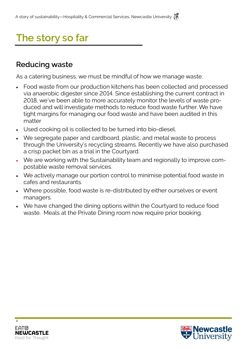#### **Reducing waste**

As a catering business, we must be mindful of how we manage waste.

- Food waste from our production kitchens has been collected and processed via anaerobic digester since 2014. Since establishing the current contract in 2018, we've been able to more accurately monitor the levels of waste produced and will investigate methods to reduce food waste further. We have tight margins for managing our food waste and have been audited in this matter
- Used cooking oil is collected to be turned into bio-diesel.
- We segregate paper and cardboard, plastic, and metal waste to process through the University's recycling streams. Recently we have also purchased a crisp packet bin as a trial in the Courtyard.
- We are working with the Sustainability team and regionally to improve compostable waste removal services.
- We actively manage our portion control to minimise potential food waste in cafes and restaurants.
- Where possible, food waste is re-distributed by either ourselves or event managers.
- We have changed the dining options within the Courtyard to reduce food waste. Meals at the Private Dining room now require prior booking.



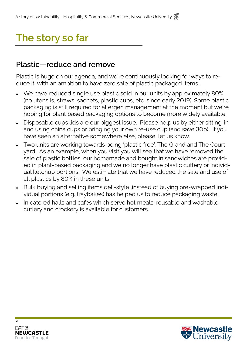#### **Plastic—reduce and remove**

Plastic is huge on our agenda, and we're continuously looking for ways to reduce it, with an ambition to have zero sale of plastic packaged items..

- We have reduced single use plastic sold in our units by approximately 80% (no utensils, straws, sachets, plastic cups, etc. since early 2019). Some plastic packaging is still required for allergen management at the moment but we're hoping for plant based packaging options to become more widely available.
- Disposable cups lids are our biggest issue. Please help us by either sitting-in and using china cups or bringing your own re-use cup (and save 30p). If you have seen an alternative somewhere else, please, let us know.
- Two units are working towards being 'plastic free', The Grand and The Courtyard. As an example, when you visit you will see that we have removed the sale of plastic bottles, our homemade and bought in sandwiches are provided in plant-based packaging and we no longer have plastic cutlery or individual ketchup portions. We estimate that we have reduced the sale and use of all plastics by 80% in these units.
- Bulk buying and selling items deli-style ,instead of buying pre-wrapped individual portions (e.g. traybakes) has helped us to reduce packaging waste.
- In catered halls and cafes which serve hot meals, reusable and washable cutlery and crockery is available for customers.



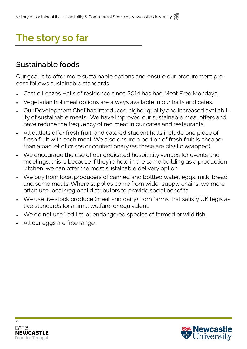#### **Sustainable foods**

Our goal is to offer more sustainable options and ensure our procurement process follows sustainable standards.

- Castle Leazes Halls of residence since 2014 has had Meat Free Mondays.
- Vegetarian hot meal options are always available in our halls and cafes.
- Our Development Chef has introduced higher quality and increased availability of sustainable meals . We have improved our sustainable meal offers and have reduce the frequency of red meat in our cafes and restaurants.
- All outlets offer fresh fruit, and catered student halls include one piece of fresh fruit with each meal. We also ensure a portion of fresh fruit is cheaper than a packet of crisps or confectionary (as these are plastic wrapped).
- We encourage the use of our dedicated hospitality venues for events and meetings; this is because if they're held in the same building as a production kitchen, we can offer the most sustainable delivery option.
- We buy from local producers of canned and bottled water, eggs, milk, bread, and some meats. Where supplies come from wider supply chains, we more often use local/regional distributors to provide social benefits
- We use livestock produce (meat and dairy) from farms that satisfy UK legislative standards for animal welfare, or equivalent.
- We do not use 'red list' or endangered species of farmed or wild fish.
- All our eggs are free range.



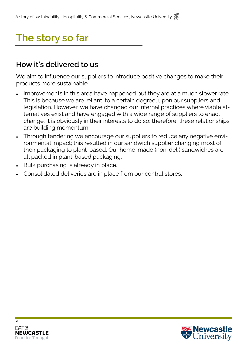#### **How it's delivered to us**

We aim to influence our suppliers to introduce positive changes to make their products more sustainable.

- Improvements in this area have happened but they are at a much slower rate. This is because we are reliant, to a certain degree, upon our suppliers and legislation. However, we have changed our internal practices where viable alternatives exist and have engaged with a wide range of suppliers to enact change. It is obviously in their interests to do so; therefore, these relationships are building momentum.
- Through tendering we encourage our suppliers to reduce any negative environmental impact; this resulted in our sandwich supplier changing most of their packaging to plant-based. Our home-made (non-deli) sandwiches are all packed in plant-based packaging.
- Bulk purchasing is already in place.
- Consolidated deliveries are in place from our central stores.